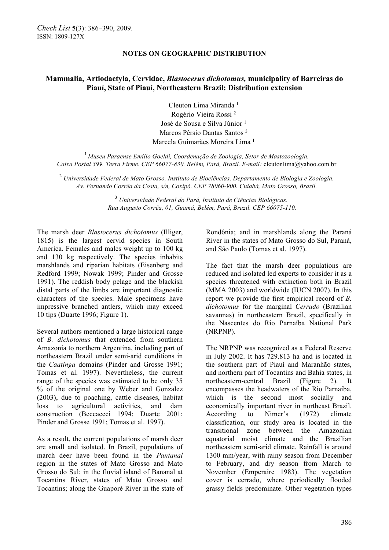# **Mammalia, Artiodactyla, Cervidae,** *Blastocerus dichotomus,* **municipality of Barreiras do Piauí, State of Piauí, Northeastern Brazil: Distribution extension**

Cleuton Lima Miranda <sup>1</sup> Rogério Vieira Rossi <sup>2</sup> José de Sousa e Silva Júnior<sup>1</sup> Marcos Pérsio Dantas Santos <sup>3</sup> Marcela Guimarães Moreira Lima <sup>1</sup>

<sup>1</sup>*Museu Paraense Emílio Goeldi, Coordenação de Zoologia, Setor de Mastozoologia. Caixa Postal 399. Terra Firme. CEP 66077-830. Belém, Pará, Brazil. E-mail:* cleutonlima@yahoo.com.br

<sup>2</sup> *Universidade Federal de Mato Grosso, Instituto de Biociências, Departamento de Biologia e Zoologia. Av. Fernando Corrêa da Costa, s/n, Coxipó. CEP 78060-900. Cuiabá, Mato Grosso, Brazil.* 

> <sup>3</sup> *Universidade Federal do Pará, Instituto de Ciências Biológicas. Rua Augusto Corrêa, 01, Guamá, Belém, Pará, Brazil. CEP 66075-110.*

The marsh deer *Blastocerus dichotomus* (Illiger, 1815) is the largest cervid species in South America. Females and males weight up to 100 kg and 130 kg respectively. The species inhabits marshlands and riparian habitats (Eisenberg and Redford 1999; Nowak 1999; Pinder and Grosse 1991). The reddish body pelage and the blackish distal parts of the limbs are important diagnostic characters of the species. Male specimens have impressive branched antlers, which may exceed 10 tips (Duarte 1996; Figure 1).

Several authors mentioned a large historical range of *B. dichotomus* that extended from southern Amazonia to northern Argentina, including part of northeastern Brazil under semi-arid conditions in the *Caatinga* domains (Pinder and Grosse 1991; Tomas et al. 1997). Nevertheless, the current range of the species was estimated to be only 35 % of the original one by Weber and Gonzalez (2003), due to poaching, cattle diseases, habitat loss to agricultural activities, and dam construction (Beccaceci 1994; Duarte 2001; Pinder and Grosse 1991; Tomas et al. 1997).

As a result, the current populations of marsh deer are small and isolated. In Brazil, populations of march deer have been found in the *Pantanal* region in the states of Mato Grosso and Mato Grosso do Sul; in the fluvial island of Bananal at Tocantins River, states of Mato Grosso and Tocantins; along the Guaporé River in the state of Rondônia; and in marshlands along the Paraná River in the states of Mato Grosso do Sul, Paraná, and São Paulo (Tomas et al. 1997).

The fact that the marsh deer populations are reduced and isolated led experts to consider it as a species threatened with extinction both in Brazil (MMA 2003) and worldwide (IUCN 2007). In this report we provide the first empirical record of *B. dichotomus* for the marginal *Cerrado* (Brazilian savannas) in northeastern Brazil, specifically in the Nascentes do Rio Parnaíba National Park (NRPNP).

The NRPNP was recognized as a Federal Reserve in July 2002. It has 729.813 ha and is located in the southern part of Piauí and Maranhão states, and northern part of Tocantins and Bahia states, in northeastern-central Brazil (Figure 2). It encompasses the headwaters of the Rio Parnaíba, which is the second most socially and economically important river in northeast Brazil. According to Nimer's (1972) climate classification, our study area is located in the transitional zone between the Amazonian equatorial moist climate and the Brazilian northeastern semi-arid climate. Rainfall is around 1300 mm/year, with rainy season from December to February, and dry season from March to November (Emperaire 1983). The vegetation cover is cerrado, where periodically flooded grassy fields predominate. Other vegetation types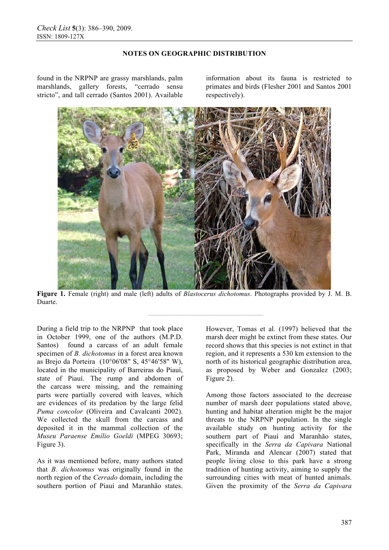found in the NRPNP are grassy marshlands, palm marshlands, gallery forests, "cerrado sensu stricto", and tall cerrado (Santos 2001). Available

information about its fauna is restricted to primates and birds (Flesher 2001 and Santos 2001 respectively).



**Figure 1.** Female (right) and male (left) adults of *Blastocerus dichotomus*. Photographs provided by J. M. B. Duarte.

**————————————————** 

During a field trip to the NRPNP that took place in October 1999, one of the authors (M.P.D. Santos) found a carcass of an adult female specimen of *B. dichotomus* in a forest area known as Brejo da Porteira (10°06'08" S, 45°46'58" W), located in the municipality of Barreiras do Piauí, state of Piauí. The rump and abdomen of the carcass were missing, and the remaining parts were partially covered with leaves, which are evidences of its predation by the large felid *Puma concolor* (Oliveira and Cavalcanti 2002). We collected the skull from the carcass and deposited it in the mammal collection of the *Museu Paraense Emílio Goeldi* (MPEG 30693; Figure 3).

As it was mentioned before, many authors stated that *B. dichotomus* was originally found in the north region of the *Cerrado* domain, including the southern portion of Piauí and Maranhão states.

However, Tomas et al. (1997) believed that the marsh deer might be extinct from these states. Our record shows that this species is not extinct in that region, and it represents a 530 km extension to the north of its historical geographic distribution area, as proposed by Weber and Gonzalez (2003; Figure 2).

Among those factors associated to the decrease number of marsh deer populations stated above, hunting and habitat alteration might be the major threats to the NRPNP population. In the single available study on hunting activity for the southern part of Piauí and Maranhão states, specifically in the *Serra da Capivara* National Park, Miranda and Alencar (2007) stated that people living close to this park have a strong tradition of hunting activity, aiming to supply the surrounding cities with meat of hunted animals. Given the proximity of the *Serra da Capivara*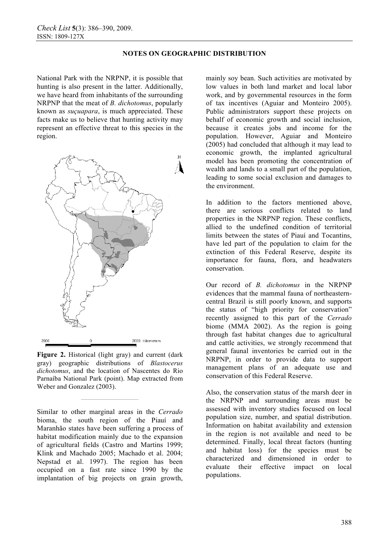National Park with the NRPNP, it is possible that hunting is also present in the latter. Additionally, we have heard from inhabitants of the surrounding NRPNP that the meat of *B. dichotomus*, popularly known as *suçuapara*, is much appreciated. These facts make us to believe that hunting activity may represent an effective threat to this species in the region.



**Figure 2.** Historical (light gray) and current (dark gray) geographic distributions of *Blastocerus dichotomus*, and the location of Nascentes do Rio Parnaíba National Park (point). Map extracted from Weber and Gonzalez (2003).

**————————** 

Similar to other marginal areas in the *Cerrado* bioma, the south region of the Piauí and Maranhão states have been suffering a process of habitat modification mainly due to the expansion of agricultural fields (Castro and Martins 1999; Klink and Machado 2005; Machado et al. 2004; Nepstad et al. 1997). The region has been occupied on a fast rate since 1990 by the implantation of big projects on grain growth,

mainly soy bean. Such activities are motivated by low values in both land market and local labor work, and by governmental resources in the form of tax incentives (Aguiar and Monteiro 2005). Public administrators support these projects on behalf of economic growth and social inclusion, because it creates jobs and income for the population. However, Aguiar and Monteiro (2005) had concluded that although it may lead to economic growth, the implanted agricultural model has been promoting the concentration of wealth and lands to a small part of the population, leading to some social exclusion and damages to the environment.

In addition to the factors mentioned above, there are serious conflicts related to land properties in the NRPNP region. These conflicts, allied to the undefined condition of territorial limits between the states of Piauí and Tocantins, have led part of the population to claim for the extinction of this Federal Reserve, despite its importance for fauna, flora, and headwaters conservation.

Our record of *B. dichotomus* in the NRPNP evidences that the mammal fauna of northeasterncentral Brazil is still poorly known, and supports the status of "high priority for conservation" recently assigned to this part of the *Cerrado* biome (MMA 2002). As the region is going through fast habitat changes due to agricultural and cattle activities, we strongly recommend that general faunal inventories be carried out in the NRPNP, in order to provide data to support management plans of an adequate use and conservation of this Federal Reserve.

Also, the conservation status of the marsh deer in the NRPNP and surrounding areas must be assessed with inventory studies focused on local population size, number, and spatial distribution. Information on habitat availability and extension in the region is not available and need to be determined. Finally, local threat factors (hunting and habitat loss) for the species must be characterized and dimensioned in order to evaluate their effective impact on local populations.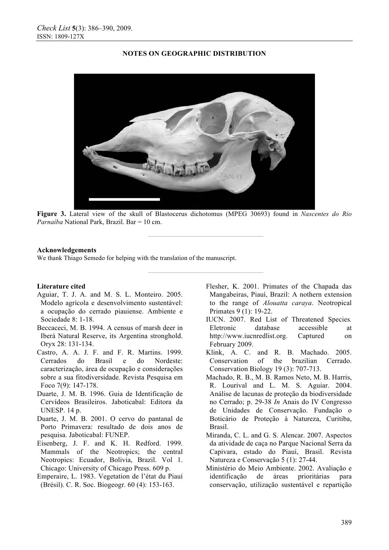

**Figure 3.** Lateral view of the skull of Blastocerus dichotomus (MPEG 30693) found in *Nascentes do Rio Parnaíba* National Park, Brazil. Bar = 10 cm.

**————————————————** 

**————————————————** 

#### **Acknowledgements**

We thank Thiago Semedo for helping with the translation of the manuscript.

#### **Literature cited**

- Aguiar, T. J. A. and M. S. L. Monteiro. 2005. Modelo agrícola e desenvolvimento sustentável: a ocupação do cerrado piauiense. Ambiente e Sociedade 8: 1-18.
- Beccaceci, M. B. 1994. A census of marsh deer in Iberá Natural Reserve, its Argentina stronghold. Oryx 28: 131-134.
- Castro, A. A. J. F. and F. R. Martins. 1999. Cerrados do Brasil e do Nordeste: caracterização, área de ocupação e considerações sobre a sua fitodiversidade. Revista Pesquisa em Foco 7(9): 147-178.
- Duarte, J. M. B. 1996. Guia de Identificação de Cervídeos Brasileiros. Jaboticabal: Editora da UNESP. 14 p.
- Duarte, J. M. B. 2001. O cervo do pantanal de Porto Primavera: resultado de dois anos de pesquisa. Jaboticabal: FUNEP.
- Eisenberg, J. F. and K. H. Redford. 1999. Mammals of the Neotropics; the central Neotropics: Ecuador, Bolivia, Brazil. Vol 1. Chicago: University of Chicago Press. 609 p.
- Emperaire, L. 1983. Vegetation de l'état du Piauí (Brésil). C. R. Soc. Biogeogr. 60 (4): 153-163.
- Flesher, K. 2001. Primates of the Chapada das Mangabeiras, Piauí, Brazil: A nothern extension to the range of *Alouatta caraya*. Neotropical Primates 9 (1): 19-22.
- IUCN. 2007. Red List of Threatened Species*.*  Eletronic database accessible at http://www.iucnredlist.org. Captured on February 2009.
- Klink, A. C. and R. B. Machado. 2005. Conservation of the brazilian Cerrado. Conservation Biology 19 (3): 707-713.
- Machado, R. B., M. B. Ramos Neto, M. B. Harris, R. Lourival and L. M. S. Aguiar. 2004. Análise de lacunas de proteção da biodiversidade no Cerrado; p. 29-38 *In* Anais do IV Congresso de Unidades de Conservação. Fundação o Boticário de Proteção à Natureza, Curitiba, Brasil.
- Miranda, C. L. and G. S. Alencar. 2007. Aspectos da atividade de caça no Parque Nacional Serra da Capivara, estado do Piauí, Brasil. Revista Natureza e Conservação 5 (1): 27-44.
- Ministério do Meio Ambiente. 2002. Avaliação e identificação de áreas prioritárias para conservação, utilização sustentável e repartição